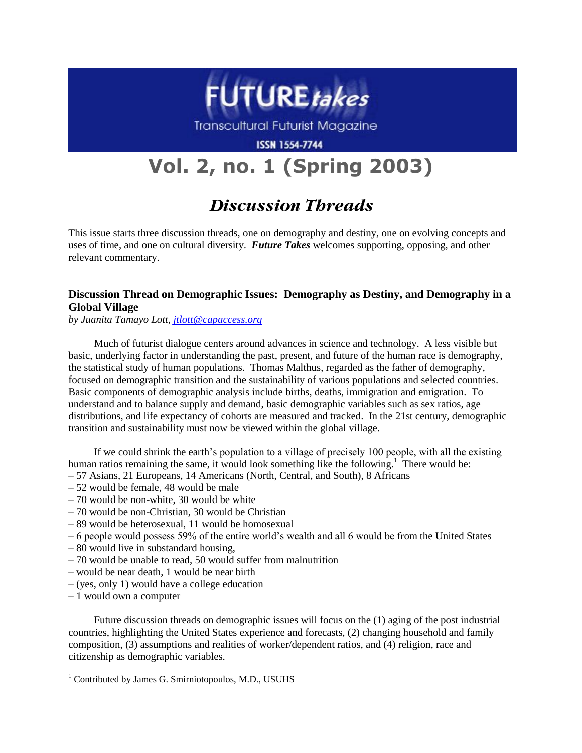

**Transcultural Futurist Magazine** 

**ISSN 1554-7744** 

# **Vol. 2, no. 1 (Spring 2003)**

# **Discussion Threads**

This issue starts three discussion threads, one on demography and destiny, one on evolving concepts and uses of time, and one on cultural diversity. *Future Takes* welcomes supporting, opposing, and other relevant commentary.

## **Discussion Thread on Demographic Issues: Demography as Destiny, and Demography in a Global Village**

*by Juanita Tamayo Lott, [jtlott@capaccess.org](mailto:jtlott@capaccess.org)*

Much of futurist dialogue centers around advances in science and technology. A less visible but basic, underlying factor in understanding the past, present, and future of the human race is demography, the statistical study of human populations. Thomas Malthus, regarded as the father of demography, focused on demographic transition and the sustainability of various populations and selected countries. Basic components of demographic analysis include births, deaths, immigration and emigration. To understand and to balance supply and demand, basic demographic variables such as sex ratios, age distributions, and life expectancy of cohorts are measured and tracked. In the 21st century, demographic transition and sustainability must now be viewed within the global village.

If we could shrink the earth's population to a village of precisely 100 people, with all the existing human ratios remaining the same, it would look something like the following.<sup>1</sup> There would be:

- 57 Asians, 21 Europeans, 14 Americans (North, Central, and South), 8 Africans
- 52 would be female, 48 would be male
- 70 would be non-white, 30 would be white
- 70 would be non-Christian, 30 would be Christian
- 89 would be heterosexual, 11 would be homosexual
- 6 people would possess 59% of the entire world's wealth and all 6 would be from the United States
- 80 would live in substandard housing,
- 70 would be unable to read, 50 would suffer from malnutrition
- would be near death, 1 would be near birth
- (yes, only 1) would have a college education
- 1 would own a computer

l

Future discussion threads on demographic issues will focus on the (1) aging of the post industrial countries, highlighting the United States experience and forecasts, (2) changing household and family composition, (3) assumptions and realities of worker/dependent ratios, and (4) religion, race and citizenship as demographic variables.

 $1$  Contributed by James G. Smirniotopoulos, M.D., USUHS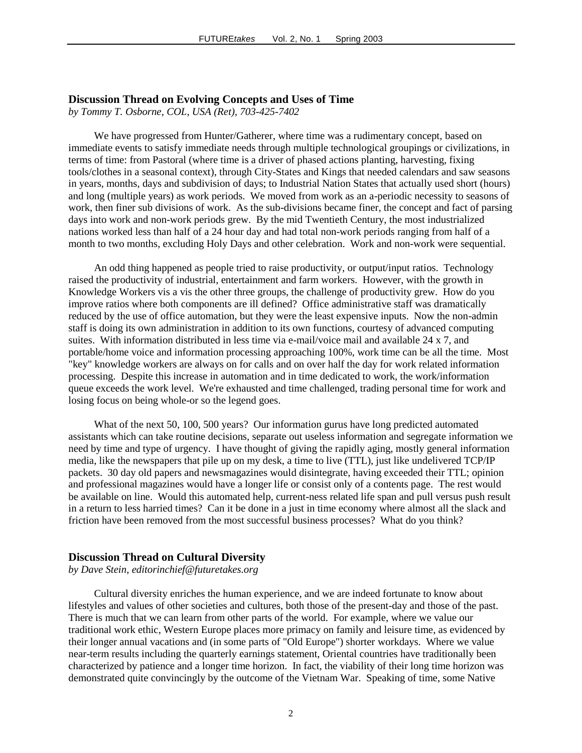### **Discussion Thread on Evolving Concepts and Uses of Time**

*by Tommy T. Osborne, COL, USA (Ret), 703-425-7402*

We have progressed from Hunter/Gatherer, where time was a rudimentary concept, based on immediate events to satisfy immediate needs through multiple technological groupings or civilizations, in terms of time: from Pastoral (where time is a driver of phased actions planting, harvesting, fixing tools/clothes in a seasonal context), through City-States and Kings that needed calendars and saw seasons in years, months, days and subdivision of days; to Industrial Nation States that actually used short (hours) and long (multiple years) as work periods. We moved from work as an a-periodic necessity to seasons of work, then finer sub divisions of work. As the sub-divisions became finer, the concept and fact of parsing days into work and non-work periods grew. By the mid Twentieth Century, the most industrialized nations worked less than half of a 24 hour day and had total non-work periods ranging from half of a month to two months, excluding Holy Days and other celebration. Work and non-work were sequential.

An odd thing happened as people tried to raise productivity, or output/input ratios. Technology raised the productivity of industrial, entertainment and farm workers. However, with the growth in Knowledge Workers vis a vis the other three groups, the challenge of productivity grew. How do you improve ratios where both components are ill defined? Office administrative staff was dramatically reduced by the use of office automation, but they were the least expensive inputs. Now the non-admin staff is doing its own administration in addition to its own functions, courtesy of advanced computing suites. With information distributed in less time via e-mail/voice mail and available 24 x 7, and portable/home voice and information processing approaching 100%, work time can be all the time. Most "key" knowledge workers are always on for calls and on over half the day for work related information processing. Despite this increase in automation and in time dedicated to work, the work/information queue exceeds the work level. We're exhausted and time challenged, trading personal time for work and losing focus on being whole-or so the legend goes.

What of the next 50, 100, 500 years? Our information gurus have long predicted automated assistants which can take routine decisions, separate out useless information and segregate information we need by time and type of urgency. I have thought of giving the rapidly aging, mostly general information media, like the newspapers that pile up on my desk, a time to live (TTL), just like undelivered TCP/IP packets. 30 day old papers and newsmagazines would disintegrate, having exceeded their TTL; opinion and professional magazines would have a longer life or consist only of a contents page. The rest would be available on line. Would this automated help, current-ness related life span and pull versus push result in a return to less harried times? Can it be done in a just in time economy where almost all the slack and friction have been removed from the most successful business processes? What do you think?

#### **Discussion Thread on Cultural Diversity**

*by Dave Stein, editorinchief@futuretakes.org*

Cultural diversity enriches the human experience, and we are indeed fortunate to know about lifestyles and values of other societies and cultures, both those of the present-day and those of the past. There is much that we can learn from other parts of the world. For example, where we value our traditional work ethic, Western Europe places more primacy on family and leisure time, as evidenced by their longer annual vacations and (in some parts of "Old Europe") shorter workdays. Where we value near-term results including the quarterly earnings statement, Oriental countries have traditionally been characterized by patience and a longer time horizon. In fact, the viability of their long time horizon was demonstrated quite convincingly by the outcome of the Vietnam War. Speaking of time, some Native